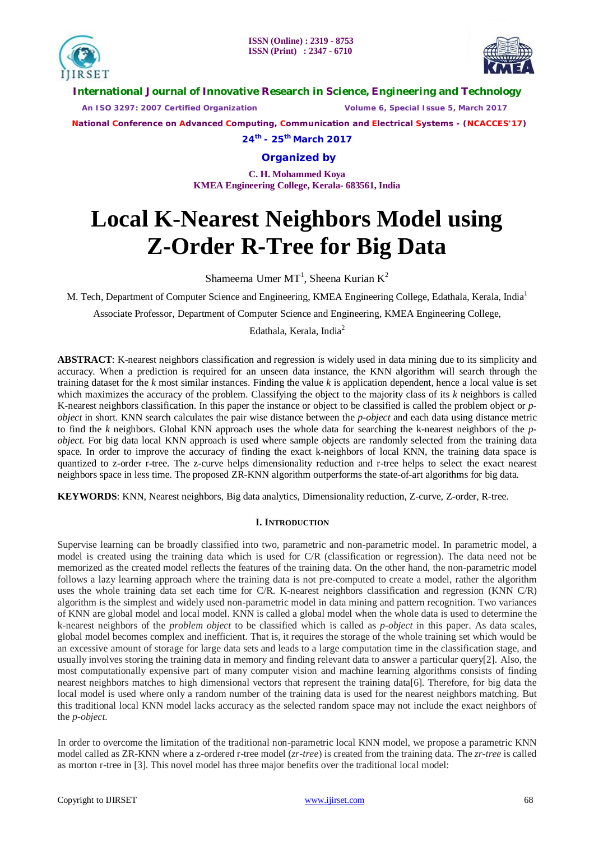



**International Journal of Innovative Research in Science, Engineering and Technology**

 *An ISO 3297: 2007 Certified Organization Volume 6, Special Issue 5, March 2017*

 **National Conference on Advanced Computing, Communication and Electrical Systems - (NCACCES'17)**

**24th - 25th March 2017**

**Organized by**

**C. H. Mohammed Koya KMEA Engineering College, Kerala- 683561, India** 

# **Local K-Nearest Neighbors Model using Z-Order R-Tree for Big Data**

Shameema Umer MT<sup>1</sup>, Sheena Kurian K<sup>2</sup>

M. Tech, Department of Computer Science and Engineering, KMEA Engineering College, Edathala, Kerala, India<sup>1</sup>

Associate Professor, Department of Computer Science and Engineering, KMEA Engineering College,

Edathala, Kerala, India $2$ 

**ABSTRACT**: K-nearest neighbors classification and regression is widely used in data mining due to its simplicity and accuracy. When a prediction is required for an unseen data instance, the KNN algorithm will search through the training dataset for the *k* most similar instances. Finding the value *k* is application dependent, hence a local value is set which maximizes the accuracy of the problem. Classifying the object to the majority class of its *k* neighbors is called K-nearest neighbors classification. In this paper the instance or object to be classified is called the problem object or *pobject* in short. KNN search calculates the pair wise distance between the *p-object* and each data using distance metric to find the *k* neighbors. Global KNN approach uses the whole data for searching the k-nearest neighbors of the *pobject*. For big data local KNN approach is used where sample objects are randomly selected from the training data space. In order to improve the accuracy of finding the exact k-neighbors of local KNN, the training data space is quantized to z-order r-tree. The z-curve helps dimensionality reduction and r-tree helps to select the exact nearest neighbors space in less time. The proposed ZR-KNN algorithm outperforms the state-of-art algorithms for big data.

**KEYWORDS**: KNN, Nearest neighbors, Big data analytics, Dimensionality reduction, Z-curve, Z-order, R-tree.

### **I. INTRODUCTION**

Supervise learning can be broadly classified into two, parametric and non-parametric model. In parametric model, a model is created using the training data which is used for C/R (classification or regression). The data need not be memorized as the created model reflects the features of the training data. On the other hand, the non-parametric model follows a lazy learning approach where the training data is not pre-computed to create a model, rather the algorithm uses the whole training data set each time for C/R. K-nearest neighbors classification and regression (KNN C/R) algorithm is the simplest and widely used non-parametric model in data mining and pattern recognition. Two variances of KNN are global model and local model. KNN is called a global model when the whole data is used to determine the k-nearest neighbors of the *problem object* to be classified which is called as *p-object* in this paper. As data scales, global model becomes complex and inefficient. That is, it requires the storage of the whole training set which would be an excessive amount of storage for large data sets and leads to a large computation time in the classification stage, and usually involves storing the training data in memory and finding relevant data to answer a particular query[2]. Also, the most computationally expensive part of many computer vision and machine learning algorithms consists of finding nearest neighbors matches to high dimensional vectors that represent the training data[6]. Therefore, for big data the local model is used where only a random number of the training data is used for the nearest neighbors matching. But this traditional local KNN model lacks accuracy as the selected random space may not include the exact neighbors of the *p-object*.

In order to overcome the limitation of the traditional non-parametric local KNN model, we propose a parametric KNN model called as ZR-KNN where a z-ordered r-tree model (*zr-tree*) is created from the training data. The *zr-tree* is called as morton r-tree in [3]. This novel model has three major benefits over the traditional local model: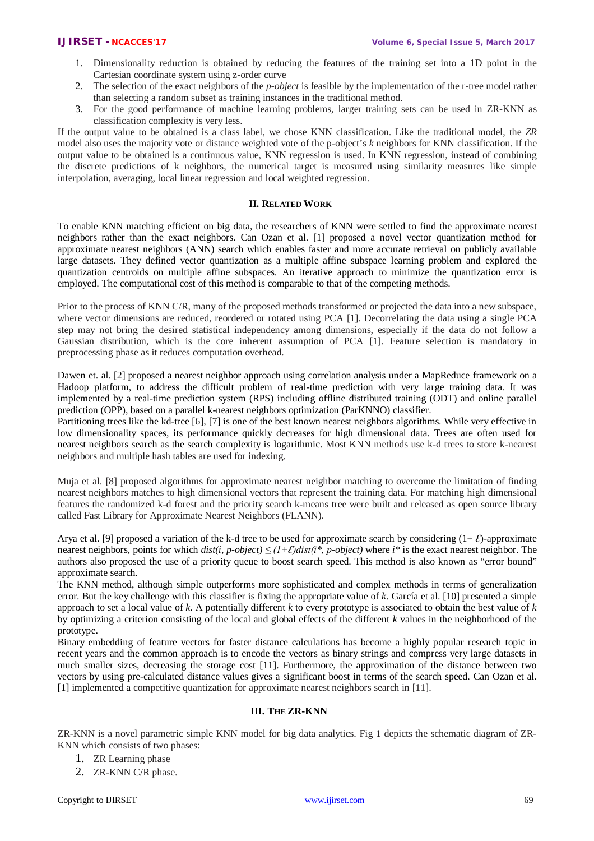- 1. Dimensionality reduction is obtained by reducing the features of the training set into a 1D point in the Cartesian coordinate system using z-order curve
- 2. The selection of the exact neighbors of the *p-object* is feasible by the implementation of the r-tree model rather than selecting a random subset as training instances in the traditional method.
- 3. For the good performance of machine learning problems, larger training sets can be used in ZR-KNN as classification complexity is very less.

If the output value to be obtained is a class label, we chose KNN classification. Like the traditional model, the *ZR* model also uses the majority vote or distance weighted vote of the p-object's *k* neighbors for KNN classification. If the output value to be obtained is a continuous value, KNN regression is used. In KNN regression, instead of combining the discrete predictions of k neighbors, the numerical target is measured using similarity measures like simple interpolation, averaging, local linear regression and local weighted regression.

#### **II. RELATED WORK**

To enable KNN matching efficient on big data, the researchers of KNN were settled to find the approximate nearest neighbors rather than the exact neighbors. Can Ozan et al. [1] proposed a novel vector quantization method for approximate nearest neighbors (ANN) search which enables faster and more accurate retrieval on publicly available large datasets. They defined vector quantization as a multiple affine subspace learning problem and explored the quantization centroids on multiple affine subspaces. An iterative approach to minimize the quantization error is employed. The computational cost of this method is comparable to that of the competing methods.

Prior to the process of KNN C/R, many of the proposed methods transformed or projected the data into a new subspace, where vector dimensions are reduced, reordered or rotated using PCA [1]. Decorrelating the data using a single PCA step may not bring the desired statistical independency among dimensions, especially if the data do not follow a Gaussian distribution, which is the core inherent assumption of PCA [1]. Feature selection is mandatory in preprocessing phase as it reduces computation overhead.

Dawen et. al. [2] proposed a nearest neighbor approach using correlation analysis under a MapReduce framework on a Hadoop platform, to address the difficult problem of real-time prediction with very large training data. It was implemented by a real-time prediction system (RPS) including offline distributed training (ODT) and online parallel prediction (OPP), based on a parallel k-nearest neighbors optimization (ParKNNO) classifier.

Partitioning trees like the kd-tree [6], [7] is one of the best known nearest neighbors algorithms. While very effective in low dimensionality spaces, its performance quickly decreases for high dimensional data. Trees are often used for nearest neighbors search as the search complexity is logarithmic. Most KNN methods use k-d trees to store k-nearest neighbors and multiple hash tables are used for indexing.

Muja et al. [8] proposed algorithms for approximate nearest neighbor matching to overcome the limitation of finding nearest neighbors matches to high dimensional vectors that represent the training data. For matching high dimensional features the randomized k-d forest and the priority search k-means tree were built and released as open source library called Fast Library for Approximate Nearest Neighbors (FLANN).

Arya et al. [9] proposed a variation of the k-d tree to be used for approximate search by considering  $(1+\mathcal{E})$ -approximate nearest neighbors, points for which *dist(i, p-object) ≤ (1+Ɛ)dist(i\*, p-object)* where *i\** is the exact nearest neighbor. The authors also proposed the use of a priority queue to boost search speed. This method is also known as "error bound" approximate search.

The KNN method, although simple outperforms more sophisticated and complex methods in terms of generalization error. But the key challenge with this classifier is fixing the appropriate value of *k*. García et al. [10] presented a simple approach to set a local value of *k*. A potentially different *k* to every prototype is associated to obtain the best value of *k*  by optimizing a criterion consisting of the local and global effects of the different *k* values in the neighborhood of the prototype.

Binary embedding of feature vectors for faster distance calculations has become a highly popular research topic in recent years and the common approach is to encode the vectors as binary strings and compress very large datasets in much smaller sizes, decreasing the storage cost [11]. Furthermore, the approximation of the distance between two vectors by using pre-calculated distance values gives a significant boost in terms of the search speed. Can Ozan et al. [1] implemented a competitive quantization for approximate nearest neighbors search in [11].

#### **III. THE ZR-KNN**

ZR-KNN is a novel parametric simple KNN model for big data analytics. Fig 1 depicts the schematic diagram of ZR-KNN which consists of two phases:

- 1. ZR Learning phase
- 2. ZR-KNN C/R phase.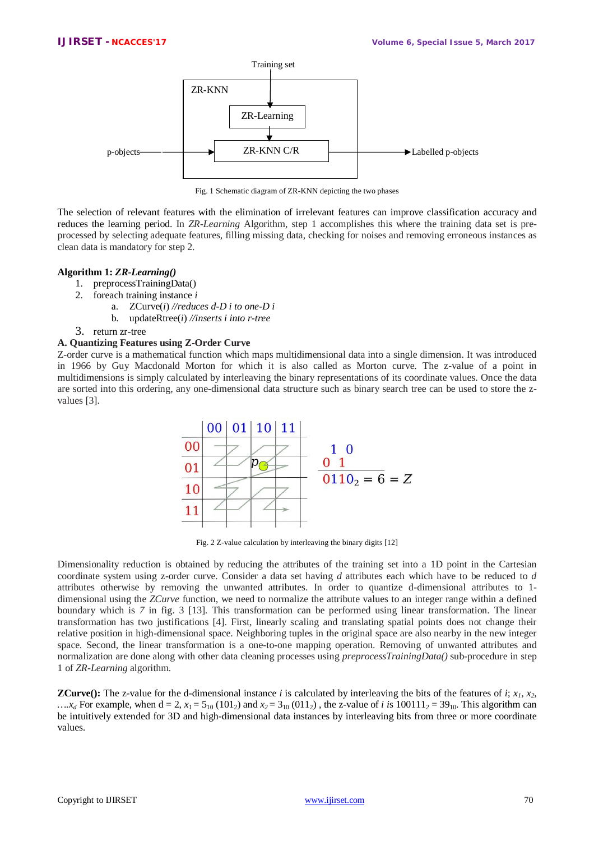

Fig. 1 Schematic diagram of ZR-KNN depicting the two phases

The selection of relevant features with the elimination of irrelevant features can improve classification accuracy and reduces the learning period. In *ZR-Learning* Algorithm, step 1 accomplishes this where the training data set is preprocessed by selecting adequate features, filling missing data, checking for noises and removing erroneous instances as clean data is mandatory for step 2.

#### **Algorithm 1:** *ZR-Learning()*

- 1. preprocessTrainingData()
- 2. foreach training instance *i*
	- a. ZCurve(*i*) *//reduces d-D i to one-D i*
	- b. updateRtree(*i*) *//inserts i into r-tree*
- 3. return zr-tree

### **A. Quantizing Features using Z-Order Curve**

Z-order curve is a mathematical function which maps multidimensional data into a single dimension. It was introduced in 1966 by Guy Macdonald Morton for which it is also called as Morton curve. The z-value of a point in multidimensions is simply calculated by interleaving the binary representations of its coordinate values. Once the data are sorted into this ordering, any one-dimensional data structure such as binary search tree can be used to store the zvalues [3].



Fig. 2 Z-value calculation by interleaving the binary digits [12]

Dimensionality reduction is obtained by reducing the attributes of the training set into a 1D point in the Cartesian coordinate system using z-order curve. Consider a data set having *d* attributes each which have to be reduced to *d* attributes otherwise by removing the unwanted attributes. In order to quantize d-dimensional attributes to 1 dimensional using the *ZCurve* function, we need to normalize the attribute values to an integer range within a defined boundary which is *7* in fig. 3 [13]. This transformation can be performed using linear transformation. The linear transformation has two justifications [4]. First, linearly scaling and translating spatial points does not change their relative position in high-dimensional space. Neighboring tuples in the original space are also nearby in the new integer space. Second, the linear transformation is a one-to-one mapping operation. Removing of unwanted attributes and normalization are done along with other data cleaning processes using *preprocessTrainingData()* sub-procedure in step 1 of *ZR-Learning* algorithm.

**ZCurve():** The z-value for the d-dimensional instance *i* is calculated by interleaving the bits of the features of *i*;  $x_1$ ,  $x_2$ , .... $x_d$  For example, when  $d = 2$ ,  $x_l = 5_{10} (101_2)$  and  $x_2 = 3_{10} (011_2)$ , the z-value of *i* is 100111<sub>2</sub> = 39<sub>10</sub>. This algorithm can be intuitively extended for 3D and high-dimensional data instances by interleaving bits from three or more coordinate values.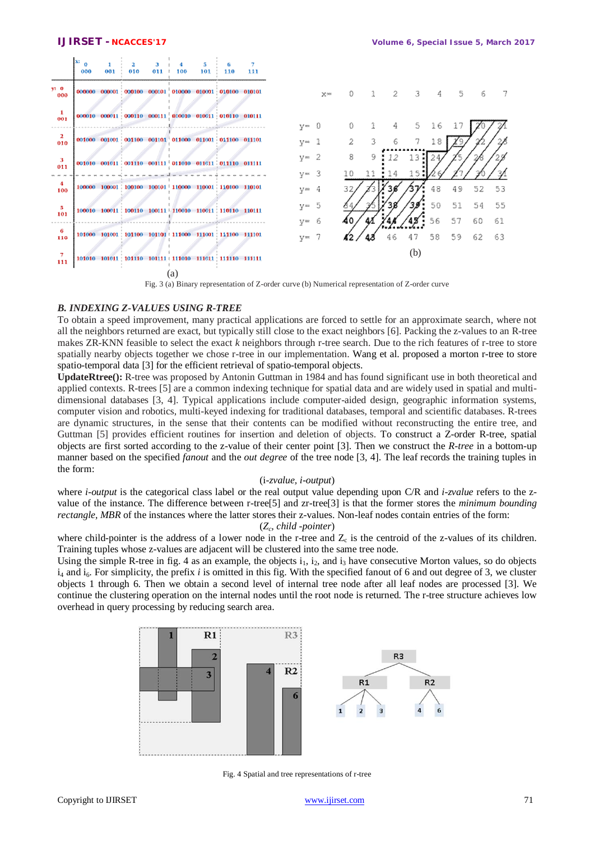|                     | lx:<br>$\Omega$<br>000 | 001 | 010 | 011 | 100 | 101 | 110                                                           | 111 |                           |                |          |    |     |     |          |          |          |           |
|---------------------|------------------------|-----|-----|-----|-----|-----|---------------------------------------------------------------|-----|---------------------------|----------------|----------|----|-----|-----|----------|----------|----------|-----------|
| $y_2$ 0<br>000      |                        |     |     |     |     |     | 000000 000001 000100 000101 010000 010001 010100 010101       |     |                           | $\mathbb{X}^m$ | O        |    | 2   | 3   | 4        | 5        | 6        |           |
| 001                 |                        |     |     |     |     |     | 000010 000011 000110 000111 010010 010011 010110 010111       |     | $y = 0$                   |                | 0        |    | 4   | S.  | 16       | -17      |          |           |
| $\mathbf{r}$<br>010 |                        |     |     |     |     |     | 001000 001001 001100 001101 011000 011001 011100 011101       |     | $V = 1$                   |                | 2        | 3. | 6   | 7   | 18       | 29       |          |           |
| з<br>011            |                        |     |     |     |     |     |                                                               |     | $v = 2$                   |                | 8        | 9. | 12. | 13  | 24       |          |          |           |
| 4<br>100            |                        |     |     |     |     |     | 100000 100001 100100 100101 110000 110001 110100 110101       |     | $y = 3$<br>$V^{\infty}$ 4 |                | 10<br>32 | 11 | 14  | 15  | 48       | 49       | 52       | 53        |
| 5<br>101            |                        |     |     |     |     |     |                                                               |     | $y = 5$                   |                |          |    |     |     | 50       | 51       | 54       | 55        |
| 6<br>110            |                        |     |     |     |     |     | 101000 101001 : 101100 101101 : 111000 111001 : 111100 111101 |     | $V^{\infty}$ 6<br>$y = 7$ |                | 40       | 43 | 46  | 47  | 56<br>58 | 57<br>59 | 60<br>62 | -61<br>63 |
| 111                 |                        |     |     |     |     |     | 101010 101011   101110 101111   111010 111011   111110 111111 |     |                           |                |          |    |     | (b) |          |          |          |           |
|                     |                        |     |     |     | (a) |     |                                                               |     |                           |                |          |    |     |     |          |          |          |           |



### *B. INDEXING Z-VALUES USING R-TREE*

To obtain a speed improvement, many practical applications are forced to settle for an approximate search, where not all the neighbors returned are exact, but typically still close to the exact neighbors [6]. Packing the z-values to an R-tree makes ZR-KNN feasible to select the exact *k* neighbors through r-tree search. Due to the rich features of r-tree to store spatially nearby objects together we chose r-tree in our implementation. Wang et al. proposed a morton r-tree to store spatio-temporal data [3] for the efficient retrieval of spatio-temporal objects.

**UpdateRtree():** R-tree was proposed by Antonin Guttman in 1984 and has found significant use in both theoretical and applied contexts. R-trees [5] are a common indexing technique for spatial data and are widely used in spatial and multidimensional databases [3, 4]. Typical applications include computer-aided design, geographic information systems, computer vision and robotics, multi-keyed indexing for traditional databases, temporal and scientific databases. R-trees are dynamic structures, in the sense that their contents can be modified without reconstructing the entire tree, and Guttman [5] provides efficient routines for insertion and deletion of objects. To construct a Z-order R-tree, spatial objects are first sorted according to the z-value of their center point [3]. Then we construct the *R-tree* in a bottom-up manner based on the specified *fanout* and the *out degree* of the tree node [3, 4]. The leaf records the training tuples in the form:

#### (i-*zvalue, i-output*)

where *i-output* is the categorical class label or the real output value depending upon C/R and *i-zvalue* refers to the zvalue of the instance. The difference between r-tree[5] and zr-tree[3] is that the former stores the *minimum bounding rectangle, MBR* of the instances where the latter stores their z-values. Non-leaf nodes contain entries of the form:

#### (*Z<sup>c</sup> , child -pointer*)

where child-pointer is the address of a lower node in the r-tree and  $Z_c$  is the centroid of the z-values of its children. Training tuples whose z-values are adjacent will be clustered into the same tree node.

Using the simple R-tree in fig. 4 as an example, the objects  $i_1$ ,  $i_2$ , and  $i_3$  have consecutive Morton values, so do objects i<sub>4</sub> and i<sub>6</sub>. For simplicity, the prefix *i* is omitted in this fig. With the specified fanout of 6 and out degree of 3, we cluster objects 1 through 6. Then we obtain a second level of internal tree node after all leaf nodes are processed [3]. We continue the clustering operation on the internal nodes until the root node is returned. The r-tree structure achieves low overhead in query processing by reducing search area.



Fig. 4 Spatial and tree representations of r-tree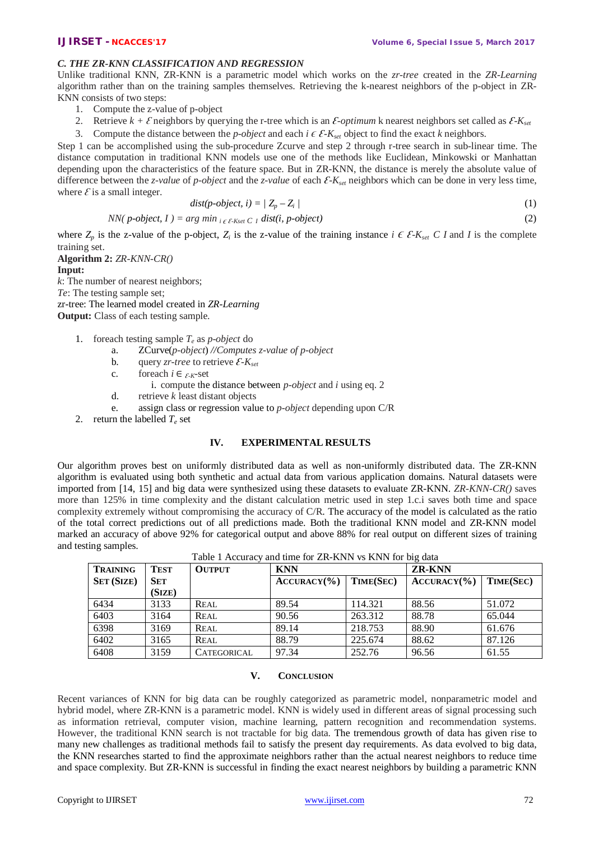## *C. THE ZR-KNN CLASSIFICATION AND REGRESSION*

Unlike traditional KNN, ZR-KNN is a parametric model which works on the *zr-tree* created in the *ZR-Learning* algorithm rather than on the training samples themselves. Retrieving the k-nearest neighbors of the p-object in ZR-KNN consists of two steps:

- 1. Compute the z-value of p-object
- 2. Retrieve  $k + \mathcal{E}$  neighbors by querying the r-tree which is an  $\mathcal{E}\text{-}optimum$  k nearest neighbors set called as  $\mathcal{E}\text{-}K_{set}$
- 3. Compute the distance between the *p-object* and each  $i \in \mathcal{E}$ *-K*<sub>set</sub> object to find the exact *k* neighbors.

Step 1 can be accomplished using the sub-procedure Zcurve and step 2 through r-tree search in sub-linear time. The distance computation in traditional KNN models use one of the methods like Euclidean, Minkowski or Manhattan depending upon the characteristics of the feature space. But in ZR-KNN, the distance is merely the absolute value of difference between the *z*-value of *p-object* and the *z*-value of each  $\mathcal{E}$ -*K*<sub>*set*</sub> neighbors which can be done in very less time, where  $\mathcal E$  is a small integer.

$$
dist(p \cdot object, i) = | Z_p - Z_i |
$$
\n<sup>(1)</sup>

NN(*p*-object, 
$$
I
$$
) =  $\arg\min_{i \in \mathcal{E}\text{-Kset }C} \text{dist}(i, p\text{-object})$  (2)

where  $Z_p$  is the z-value of the p-object,  $Z_i$  is the z-value of the training instance  $i \in \mathcal{E}$ - $K_{set}$  C *I* and *I* is the complete training set.

**Algorithm 2:** *ZR-KNN-CR()* **Input:**  *k*: The number of nearest neighbors; *Te*: The testing sample set;

zr-tree: The learned model created in *ZR-Learning*

**Output:** Class of each testing sample.

- 1. foreach testing sample *T<sup>e</sup>* as *p-object* do
	- a. ZCurve(*p-object*) *//Computes z-value of p-object*
	- b. query *zr-tree* to retrieve  $\mathcal{E}$ *-K*<sub>*set*</sub>
	- c. for each  $i \in \mathcal{E}$ *K*-set
		- i. compute the distance between *p-object* and *i* using eq. 2
	- d. retrieve *k* least distant objects
	- e. assign class or regression value to *p-object* depending upon C/R
- 2. return the labelled  $T_e$  set

#### **IV. EXPERIMENTAL RESULTS**

Our algorithm proves best on uniformly distributed data as well as non-uniformly distributed data. The ZR-KNN algorithm is evaluated using both synthetic and actual data from various application domains. Natural datasets were imported from [14, 15] and big data were synthesized using these datasets to evaluate ZR-KNN. *ZR-KNN-CR()* saves more than 125% in time complexity and the distant calculation metric used in step 1.c.i saves both time and space complexity extremely without compromising the accuracy of C/R. The accuracy of the model is calculated as the ratio of the total correct predictions out of all predictions made. Both the traditional KNN model and ZR-KNN model marked an accuracy of above 92% for categorical output and above 88% for real output on different sizes of training and testing samples.

| <b>TRAINING</b>   | <b>TEST</b> | <b>OUTPUT</b>      | <b>KNN</b>            |                  | <b>ZR-KNN</b> |           |  |  |
|-------------------|-------------|--------------------|-----------------------|------------------|---------------|-----------|--|--|
| <b>SET (SIZE)</b> | <b>SET</b>  |                    | $\text{ACCURACY}(\%)$ | <b>TIME(SEC)</b> | ACCURACY(%)   | TIME(SEC) |  |  |
|                   | (SIZE)      |                    |                       |                  |               |           |  |  |
| 6434              | 3133        | <b>REAL</b>        | 89.54                 | 114.321          | 88.56         | 51.072    |  |  |
| 6403              | 3164        | <b>REAL</b>        | 90.56                 | 263.312          | 88.78         | 65.044    |  |  |
| 6398              | 3169        | <b>REAL</b>        | 89.14                 | 218.753          | 88.90         | 61.676    |  |  |
| 6402              | 3165        | <b>REAL</b>        | 88.79                 | 225.674          | 88.62         | 87.126    |  |  |
| 6408              | 3159        | <b>CATEGORICAL</b> | 97.34                 | 252.76           | 96.56         | 61.55     |  |  |

Table 1 Accuracy and time for ZR-KNN vs KNN for big data

#### **V. CONCLUSION**

Recent variances of KNN for big data can be roughly categorized as parametric model, nonparametric model and hybrid model, where ZR-KNN is a parametric model. KNN is widely used in different areas of signal processing such as information retrieval, computer vision, machine learning, pattern recognition and recommendation systems. However, the traditional KNN search is not tractable for big data. The tremendous growth of data has given rise to many new challenges as traditional methods fail to satisfy the present day requirements. As data evolved to big data, the KNN researches started to find the approximate neighbors rather than the actual nearest neighbors to reduce time and space complexity. But ZR-KNN is successful in finding the exact nearest neighbors by building a parametric KNN